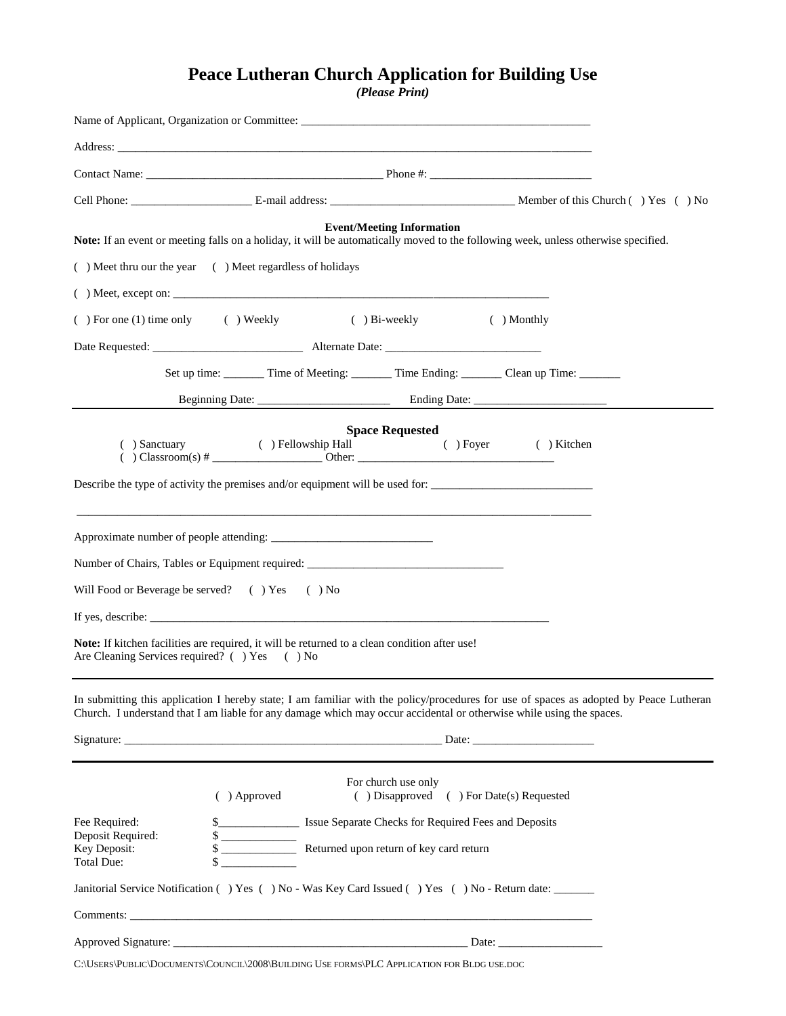## **Peace Lutheran Church Application for Building Use**

*(Please Print)*

|                                                                                                                                                      |                                                                                                | <b>Event/Meeting Information</b>                                                 |             | Note: If an event or meeting falls on a holiday, it will be automatically moved to the following week, unless otherwise specified.                                                                                                                             |  |
|------------------------------------------------------------------------------------------------------------------------------------------------------|------------------------------------------------------------------------------------------------|----------------------------------------------------------------------------------|-------------|----------------------------------------------------------------------------------------------------------------------------------------------------------------------------------------------------------------------------------------------------------------|--|
| () Meet thru our the year () Meet regardless of holidays                                                                                             |                                                                                                |                                                                                  |             |                                                                                                                                                                                                                                                                |  |
|                                                                                                                                                      |                                                                                                |                                                                                  |             |                                                                                                                                                                                                                                                                |  |
| $( )$ For one (1) time only $( )$ Weekly                                                                                                             |                                                                                                | $()$ Bi-weekly                                                                   | ( ) Monthly |                                                                                                                                                                                                                                                                |  |
|                                                                                                                                                      |                                                                                                |                                                                                  |             |                                                                                                                                                                                                                                                                |  |
|                                                                                                                                                      | Set up time: _________ Time of Meeting: ________ Time Ending: ________ Clean up Time: ________ |                                                                                  |             |                                                                                                                                                                                                                                                                |  |
|                                                                                                                                                      |                                                                                                |                                                                                  |             |                                                                                                                                                                                                                                                                |  |
|                                                                                                                                                      | ( ) Sanctuary ( ) Fellowship Hall ( ) Foyer                                                    | <b>Space Requested</b>                                                           |             | $( )$ Kitchen                                                                                                                                                                                                                                                  |  |
|                                                                                                                                                      |                                                                                                |                                                                                  |             |                                                                                                                                                                                                                                                                |  |
| Number of Chairs, Tables or Equipment required: _________________________________                                                                    |                                                                                                |                                                                                  |             |                                                                                                                                                                                                                                                                |  |
| Will Food or Beverage be served? () Yes () No                                                                                                        |                                                                                                |                                                                                  |             |                                                                                                                                                                                                                                                                |  |
|                                                                                                                                                      |                                                                                                |                                                                                  |             |                                                                                                                                                                                                                                                                |  |
| <b>Note:</b> If kitchen facilities are required, it will be returned to a clean condition after use!<br>Are Cleaning Services required? () Yes () No |                                                                                                |                                                                                  |             |                                                                                                                                                                                                                                                                |  |
|                                                                                                                                                      |                                                                                                |                                                                                  |             | In submitting this application I hereby state; I am familiar with the policy/procedures for use of spaces as adopted by Peace Lutheran<br>Church. I understand that I am liable for any damage which may occur accidental or otherwise while using the spaces. |  |
|                                                                                                                                                      |                                                                                                |                                                                                  |             |                                                                                                                                                                                                                                                                |  |
|                                                                                                                                                      | ( ) Approved                                                                                   | For church use only<br>( ) Disapproved ( ) For Date(s) Requested                 |             |                                                                                                                                                                                                                                                                |  |
| Fee Required:                                                                                                                                        |                                                                                                | \$_________________________ Issue Separate Checks for Required Fees and Deposits |             |                                                                                                                                                                                                                                                                |  |
| Deposit Required:<br>Key Deposit:<br>Total Due:                                                                                                      | \$                                                                                             | Returned upon return of key card return                                          |             |                                                                                                                                                                                                                                                                |  |
| Janitorial Service Notification () Yes () No - Was Key Card Issued () Yes () No - Return date:                                                       |                                                                                                |                                                                                  |             |                                                                                                                                                                                                                                                                |  |
|                                                                                                                                                      |                                                                                                |                                                                                  |             |                                                                                                                                                                                                                                                                |  |
|                                                                                                                                                      |                                                                                                |                                                                                  |             |                                                                                                                                                                                                                                                                |  |

C:\USERS\PUBLIC\DOCUMENTS\COUNCIL\2008\BUILDING USE FORMS\PLC APPLICATION FOR BLDG USE.DOC